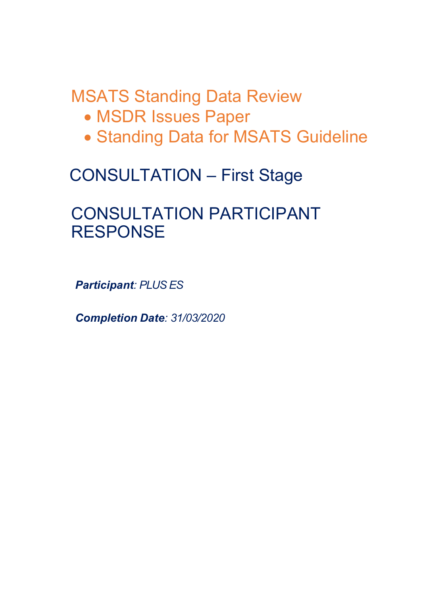MSATS Standing Data Review

- MSDR Issues Paper
- Standing Data for MSATS Guideline

# CONSULTATION – First Stage

## CONSULTATION PARTICIPANT **RESPONSE**

*Participant: PLUS ES*

*Completion Date: 31/03/2020*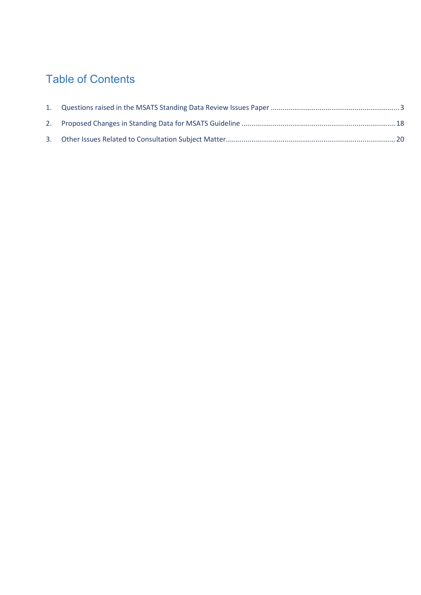## Table of Contents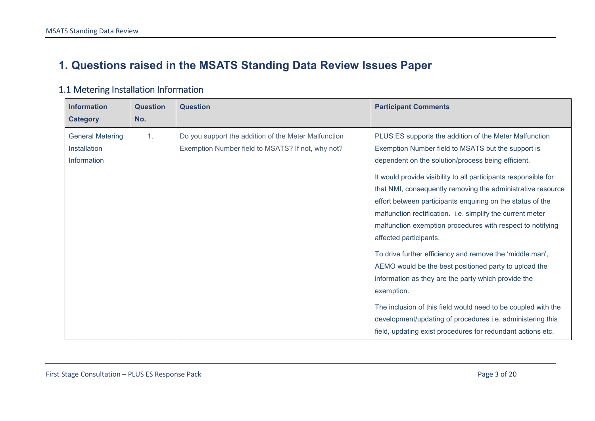## **1. Questions raised in the MSATS Standing Data Review Issues Paper**

<span id="page-2-0"></span>

| <b>Information</b><br><b>Category</b>                  | <b>Question</b><br>No. | <b>Question</b>                                                                                           | <b>Participant Comments</b>                                                                                                                                                                                                                                                                                                                                                                                                                                                                                                                                                                                                                                                                                                                                                                                                                       |
|--------------------------------------------------------|------------------------|-----------------------------------------------------------------------------------------------------------|---------------------------------------------------------------------------------------------------------------------------------------------------------------------------------------------------------------------------------------------------------------------------------------------------------------------------------------------------------------------------------------------------------------------------------------------------------------------------------------------------------------------------------------------------------------------------------------------------------------------------------------------------------------------------------------------------------------------------------------------------------------------------------------------------------------------------------------------------|
| <b>General Metering</b><br>Installation<br>Information | $\mathbf{1}$ .         | Do you support the addition of the Meter Malfunction<br>Exemption Number field to MSATS? If not, why not? | PLUS ES supports the addition of the Meter Malfunction<br>Exemption Number field to MSATS but the support is<br>dependent on the solution/process being efficient.<br>It would provide visibility to all participants responsible for<br>that NMI, consequently removing the administrative resource<br>effort between participants enquiring on the status of the<br>malfunction rectification. i.e. simplify the current meter<br>malfunction exemption procedures with respect to notifying<br>affected participants.<br>To drive further efficiency and remove the 'middle man',<br>AEMO would be the best positioned party to upload the<br>information as they are the party which provide the<br>exemption.<br>The inclusion of this field would need to be coupled with the<br>development/updating of procedures i.e. administering this |
|                                                        |                        |                                                                                                           | field, updating exist procedures for redundant actions etc.                                                                                                                                                                                                                                                                                                                                                                                                                                                                                                                                                                                                                                                                                                                                                                                       |

#### 1.1 Metering Installation Information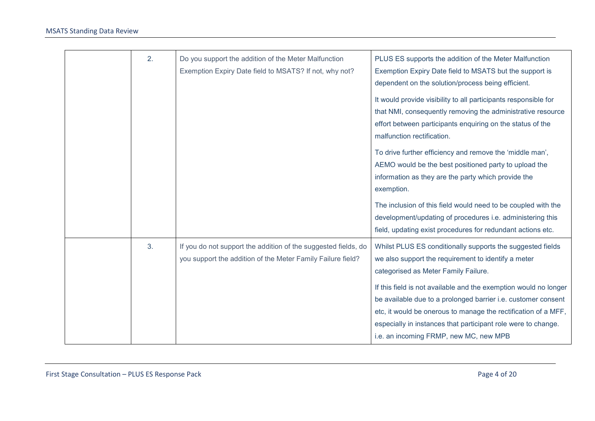| 2. | Do you support the addition of the Meter Malfunction<br>Exemption Expiry Date field to MSATS? If not, why not?                | PLUS ES supports the addition of the Meter Malfunction<br>Exemption Expiry Date field to MSATS but the support is<br>dependent on the solution/process being efficient.<br>It would provide visibility to all participants responsible for<br>that NMI, consequently removing the administrative resource<br>effort between participants enquiring on the status of the<br>malfunction rectification.<br>To drive further efficiency and remove the 'middle man',<br>AEMO would be the best positioned party to upload the<br>information as they are the party which provide the<br>exemption.<br>The inclusion of this field would need to be coupled with the |
|----|-------------------------------------------------------------------------------------------------------------------------------|------------------------------------------------------------------------------------------------------------------------------------------------------------------------------------------------------------------------------------------------------------------------------------------------------------------------------------------------------------------------------------------------------------------------------------------------------------------------------------------------------------------------------------------------------------------------------------------------------------------------------------------------------------------|
|    |                                                                                                                               | development/updating of procedures i.e. administering this<br>field, updating exist procedures for redundant actions etc.                                                                                                                                                                                                                                                                                                                                                                                                                                                                                                                                        |
| 3. | If you do not support the addition of the suggested fields, do<br>you support the addition of the Meter Family Failure field? | Whilst PLUS ES conditionally supports the suggested fields<br>we also support the requirement to identify a meter<br>categorised as Meter Family Failure.<br>If this field is not available and the exemption would no longer<br>be available due to a prolonged barrier i.e. customer consent<br>etc, it would be onerous to manage the rectification of a MFF,<br>especially in instances that participant role were to change.<br>i.e. an incoming FRMP, new MC, new MPB                                                                                                                                                                                      |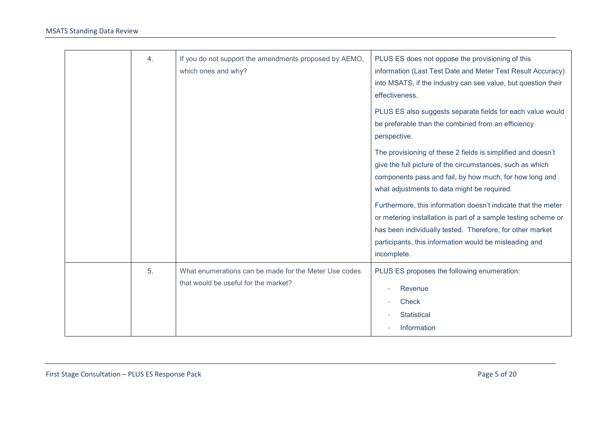| 4. | If you do not support the amendments proposed by AEMO,<br>which ones and why? | PLUS ES does not oppose the provisioning of this<br>information (Last Test Date and Meter Test Result Accuracy)<br>into MSATS, if the industry can see value, but question their<br>effectiveness.<br>PLUS ES also suggests separate fields for each value would<br>be preferable than the combined from an efficiency<br>perspective.<br>The provisioning of these 2 fields is simplified and doesn't<br>give the full picture of the circumstances, such as which<br>components pass and fail, by how much, for how long and<br>what adjustments to data might be required.<br>Furthermore, this information doesn't indicate that the meter<br>or metering installation is part of a sample testing scheme or<br>has been individually tested. Therefore, for other market<br>participants, this information would be misleading and |
|----|-------------------------------------------------------------------------------|-----------------------------------------------------------------------------------------------------------------------------------------------------------------------------------------------------------------------------------------------------------------------------------------------------------------------------------------------------------------------------------------------------------------------------------------------------------------------------------------------------------------------------------------------------------------------------------------------------------------------------------------------------------------------------------------------------------------------------------------------------------------------------------------------------------------------------------------|
| 5. | What enumerations can be made for the Meter Use codes                         | incomplete.<br>PLUS ES proposes the following enumeration:                                                                                                                                                                                                                                                                                                                                                                                                                                                                                                                                                                                                                                                                                                                                                                              |
|    | that would be useful for the market?                                          | Revenue<br><b>Check</b><br><b>Statistical</b><br>Information                                                                                                                                                                                                                                                                                                                                                                                                                                                                                                                                                                                                                                                                                                                                                                            |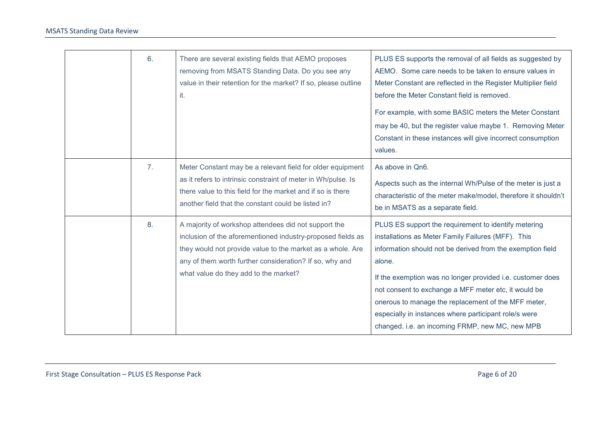| 6.             | There are several existing fields that AEMO proposes<br>removing from MSATS Standing Data. Do you see any<br>value in their retention for the market? If so, please outline<br>it.                                                                                                    | PLUS ES supports the removal of all fields as suggested by<br>AEMO. Some care needs to be taken to ensure values in<br>Meter Constant are reflected in the Register Multiplier field<br>before the Meter Constant field is removed.<br>For example, with some BASIC meters the Meter Constant<br>may be 40, but the register value maybe 1. Removing Meter<br>Constant in these instances will give incorrect consumption<br>values.                                        |
|----------------|---------------------------------------------------------------------------------------------------------------------------------------------------------------------------------------------------------------------------------------------------------------------------------------|-----------------------------------------------------------------------------------------------------------------------------------------------------------------------------------------------------------------------------------------------------------------------------------------------------------------------------------------------------------------------------------------------------------------------------------------------------------------------------|
| 7 <sub>1</sub> | Meter Constant may be a relevant field for older equipment<br>as it refers to intrinsic constraint of meter in Wh/pulse. Is<br>there value to this field for the market and if so is there<br>another field that the constant could be listed in?                                     | As above in Qn6.<br>Aspects such as the internal Wh/Pulse of the meter is just a<br>characteristic of the meter make/model, therefore it shouldn't<br>be in MSATS as a separate field.                                                                                                                                                                                                                                                                                      |
| 8.             | A majority of workshop attendees did not support the<br>inclusion of the aforementioned industry-proposed fields as<br>they would not provide value to the market as a whole. Are<br>any of them worth further consideration? If so, why and<br>what value do they add to the market? | PLUS ES support the requirement to identify metering<br>installations as Meter Family Failures (MFF). This<br>information should not be derived from the exemption field<br>alone.<br>If the exemption was no longer provided i.e. customer does<br>not consent to exchange a MFF meter etc, it would be<br>onerous to manage the replacement of the MFF meter,<br>especially in instances where participant role/s were<br>changed. i.e. an incoming FRMP, new MC, new MPB |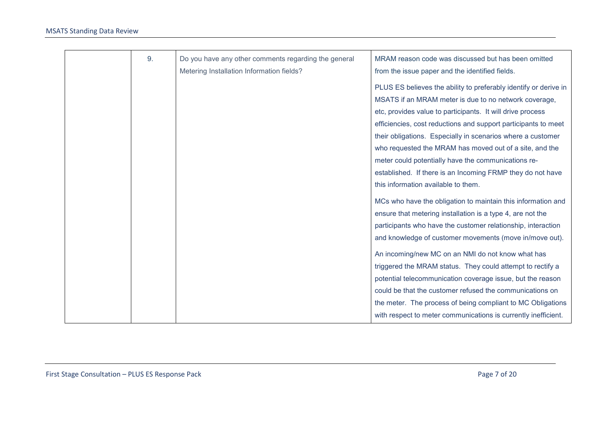| 9. | Do you have any other comments regarding the general | MRAM reason code was discussed but has been omitted              |
|----|------------------------------------------------------|------------------------------------------------------------------|
|    | Metering Installation Information fields?            | from the issue paper and the identified fields.                  |
|    |                                                      | PLUS ES believes the ability to preferably identify or derive in |
|    |                                                      | MSATS if an MRAM meter is due to no network coverage,            |
|    |                                                      | etc, provides value to participants. It will drive process       |
|    |                                                      | efficiencies, cost reductions and support participants to meet   |
|    |                                                      | their obligations. Especially in scenarios where a customer      |
|    |                                                      | who requested the MRAM has moved out of a site, and the          |
|    |                                                      | meter could potentially have the communications re-              |
|    |                                                      | established. If there is an Incoming FRMP they do not have       |
|    |                                                      | this information available to them.                              |
|    |                                                      | MCs who have the obligation to maintain this information and     |
|    |                                                      | ensure that metering installation is a type 4, are not the       |
|    |                                                      | participants who have the customer relationship, interaction     |
|    |                                                      | and knowledge of customer movements (move in/move out).          |
|    |                                                      | An incoming/new MC on an NMI do not know what has                |
|    |                                                      | triggered the MRAM status. They could attempt to rectify a       |
|    |                                                      | potential telecommunication coverage issue, but the reason       |
|    |                                                      | could be that the customer refused the communications on         |
|    |                                                      | the meter. The process of being compliant to MC Obligations      |
|    |                                                      | with respect to meter communications is currently inefficient.   |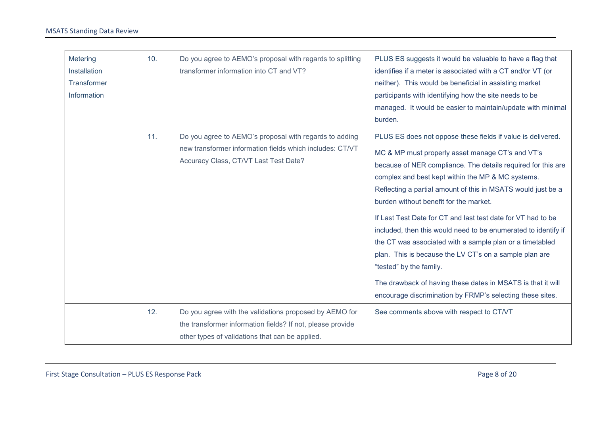| Metering<br>Installation<br>Transformer<br>Information | 10. | Do you agree to AEMO's proposal with regards to splitting<br>transformer information into CT and VT?                                                                    | PLUS ES suggests it would be valuable to have a flag that<br>identifies if a meter is associated with a CT and/or VT (or<br>neither). This would be beneficial in assisting market<br>participants with identifying how the site needs to be<br>managed. It would be easier to maintain/update with minimal<br>burden.                                                                                                                                                                                                                                                                                                                                                                                                                                        |
|--------------------------------------------------------|-----|-------------------------------------------------------------------------------------------------------------------------------------------------------------------------|---------------------------------------------------------------------------------------------------------------------------------------------------------------------------------------------------------------------------------------------------------------------------------------------------------------------------------------------------------------------------------------------------------------------------------------------------------------------------------------------------------------------------------------------------------------------------------------------------------------------------------------------------------------------------------------------------------------------------------------------------------------|
|                                                        | 11. | Do you agree to AEMO's proposal with regards to adding<br>new transformer information fields which includes: CT/VT<br>Accuracy Class, CT/VT Last Test Date?             | PLUS ES does not oppose these fields if value is delivered.<br>MC & MP must properly asset manage CT's and VT's<br>because of NER compliance. The details required for this are<br>complex and best kept within the MP & MC systems.<br>Reflecting a partial amount of this in MSATS would just be a<br>burden without benefit for the market.<br>If Last Test Date for CT and last test date for VT had to be<br>included, then this would need to be enumerated to identify if<br>the CT was associated with a sample plan or a timetabled<br>plan. This is because the LV CT's on a sample plan are<br>"tested" by the family.<br>The drawback of having these dates in MSATS is that it will<br>encourage discrimination by FRMP's selecting these sites. |
|                                                        | 12. | Do you agree with the validations proposed by AEMO for<br>the transformer information fields? If not, please provide<br>other types of validations that can be applied. | See comments above with respect to CT/VT                                                                                                                                                                                                                                                                                                                                                                                                                                                                                                                                                                                                                                                                                                                      |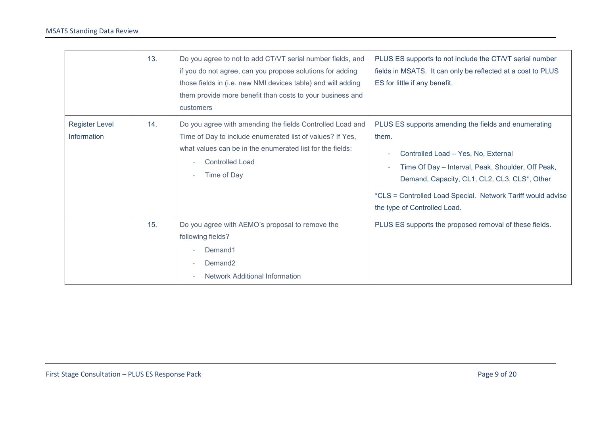|                                      | 13. | Do you agree to not to add CT/VT serial number fields, and<br>if you do not agree, can you propose solutions for adding<br>those fields in (i.e. new NMI devices table) and will adding<br>them provide more benefit than costs to your business and<br>customers | PLUS ES supports to not include the CT/VT serial number<br>fields in MSATS. It can only be reflected at a cost to PLUS<br>ES for little if any benefit.                                                                                                                                                  |
|--------------------------------------|-----|-------------------------------------------------------------------------------------------------------------------------------------------------------------------------------------------------------------------------------------------------------------------|----------------------------------------------------------------------------------------------------------------------------------------------------------------------------------------------------------------------------------------------------------------------------------------------------------|
| <b>Register Level</b><br>Information | 14. | Do you agree with amending the fields Controlled Load and<br>Time of Day to include enumerated list of values? If Yes,<br>what values can be in the enumerated list for the fields:<br><b>Controlled Load</b><br>Time of Day                                      | PLUS ES supports amending the fields and enumerating<br>them.<br>Controlled Load - Yes, No, External<br>Time Of Day - Interval, Peak, Shoulder, Off Peak,<br>Demand, Capacity, CL1, CL2, CL3, CLS*, Other<br>*CLS = Controlled Load Special. Network Tariff would advise<br>the type of Controlled Load. |
|                                      | 15. | Do you agree with AEMO's proposal to remove the<br>following fields?<br>Demand1<br>Demand <sub>2</sub><br><b>Network Additional Information</b>                                                                                                                   | PLUS ES supports the proposed removal of these fields.                                                                                                                                                                                                                                                   |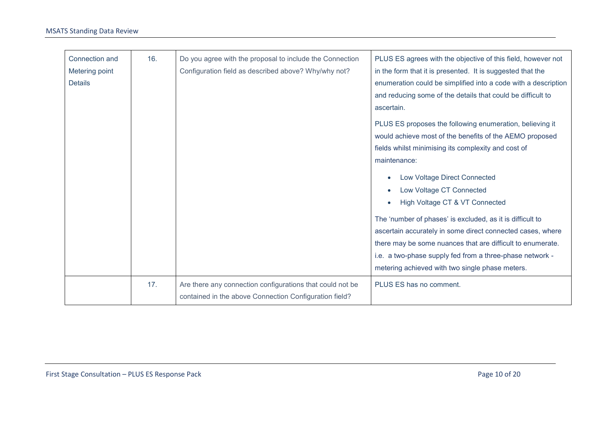| Connection and<br>Metering point<br><b>Details</b> | 16. | Do you agree with the proposal to include the Connection<br>Configuration field as described above? Why/why not?    | PLUS ES agrees with the objective of this field, however not<br>in the form that it is presented. It is suggested that the<br>enumeration could be simplified into a code with a description<br>and reducing some of the details that could be difficult to<br>ascertain.<br>PLUS ES proposes the following enumeration, believing it<br>would achieve most of the benefits of the AEMO proposed<br>fields whilst minimising its complexity and cost of<br>maintenance:<br>Low Voltage Direct Connected<br>Low Voltage CT Connected<br>High Voltage CT & VT Connected<br>The 'number of phases' is excluded, as it is difficult to<br>ascertain accurately in some direct connected cases, where<br>there may be some nuances that are difficult to enumerate.<br>i.e. a two-phase supply fed from a three-phase network - |
|----------------------------------------------------|-----|---------------------------------------------------------------------------------------------------------------------|----------------------------------------------------------------------------------------------------------------------------------------------------------------------------------------------------------------------------------------------------------------------------------------------------------------------------------------------------------------------------------------------------------------------------------------------------------------------------------------------------------------------------------------------------------------------------------------------------------------------------------------------------------------------------------------------------------------------------------------------------------------------------------------------------------------------------|
|                                                    |     |                                                                                                                     | metering achieved with two single phase meters.                                                                                                                                                                                                                                                                                                                                                                                                                                                                                                                                                                                                                                                                                                                                                                            |
|                                                    | 17. | Are there any connection configurations that could not be<br>contained in the above Connection Configuration field? | PLUS ES has no comment.                                                                                                                                                                                                                                                                                                                                                                                                                                                                                                                                                                                                                                                                                                                                                                                                    |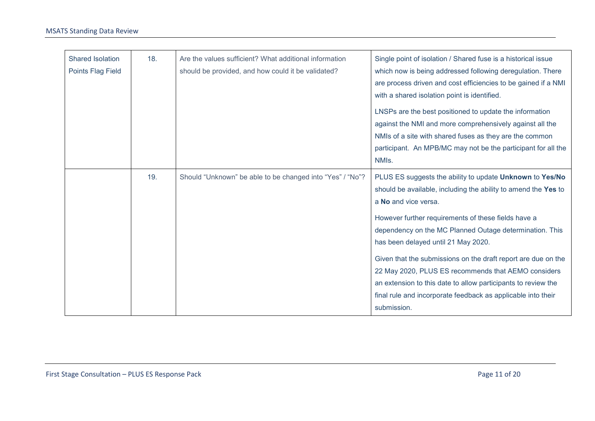| <b>Shared Isolation</b><br>Points Flag Field | 18. | Are the values sufficient? What additional information<br>should be provided, and how could it be validated? | Single point of isolation / Shared fuse is a historical issue<br>which now is being addressed following deregulation. There<br>are process driven and cost efficiencies to be gained if a NMI<br>with a shared isolation point is identified.                                                                                                                                                                                                                                                                                                                                       |
|----------------------------------------------|-----|--------------------------------------------------------------------------------------------------------------|-------------------------------------------------------------------------------------------------------------------------------------------------------------------------------------------------------------------------------------------------------------------------------------------------------------------------------------------------------------------------------------------------------------------------------------------------------------------------------------------------------------------------------------------------------------------------------------|
|                                              |     |                                                                                                              | LNSPs are the best positioned to update the information<br>against the NMI and more comprehensively against all the<br>NMIs of a site with shared fuses as they are the common<br>participant. An MPB/MC may not be the participant for all the<br>NMIs.                                                                                                                                                                                                                                                                                                                            |
|                                              | 19. | Should "Unknown" be able to be changed into "Yes" / "No"?                                                    | PLUS ES suggests the ability to update Unknown to Yes/No<br>should be available, including the ability to amend the Yes to<br>a No and vice versa.<br>However further requirements of these fields have a<br>dependency on the MC Planned Outage determination. This<br>has been delayed until 21 May 2020.<br>Given that the submissions on the draft report are due on the<br>22 May 2020, PLUS ES recommends that AEMO considers<br>an extension to this date to allow participants to review the<br>final rule and incorporate feedback as applicable into their<br>submission. |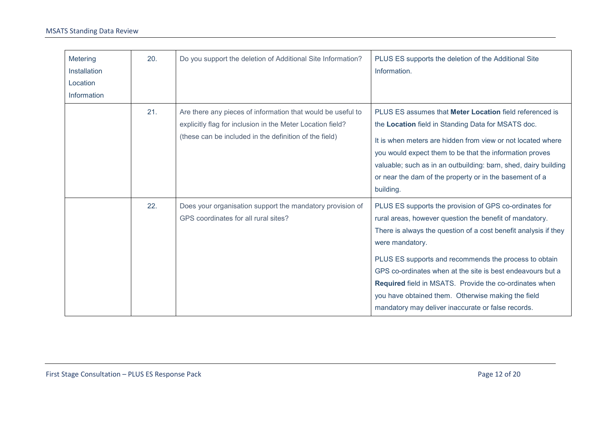| Metering<br>Installation<br>Location<br>Information | 20. | Do you support the deletion of Additional Site Information?                                                                                                                         | PLUS ES supports the deletion of the Additional Site<br>Information.                                                                                                                                                                                                                                                                                                                                                                                                                                 |
|-----------------------------------------------------|-----|-------------------------------------------------------------------------------------------------------------------------------------------------------------------------------------|------------------------------------------------------------------------------------------------------------------------------------------------------------------------------------------------------------------------------------------------------------------------------------------------------------------------------------------------------------------------------------------------------------------------------------------------------------------------------------------------------|
|                                                     | 21. | Are there any pieces of information that would be useful to<br>explicitly flag for inclusion in the Meter Location field?<br>(these can be included in the definition of the field) | PLUS ES assumes that Meter Location field referenced is<br>the Location field in Standing Data for MSATS doc.<br>It is when meters are hidden from view or not located where<br>you would expect them to be that the information proves<br>valuable; such as in an outbuilding: barn, shed, dairy building<br>or near the dam of the property or in the basement of a<br>building.                                                                                                                   |
|                                                     | 22. | Does your organisation support the mandatory provision of<br>GPS coordinates for all rural sites?                                                                                   | PLUS ES supports the provision of GPS co-ordinates for<br>rural areas, however question the benefit of mandatory.<br>There is always the question of a cost benefit analysis if they<br>were mandatory.<br>PLUS ES supports and recommends the process to obtain<br>GPS co-ordinates when at the site is best endeavours but a<br>Required field in MSATS. Provide the co-ordinates when<br>you have obtained them. Otherwise making the field<br>mandatory may deliver inaccurate or false records. |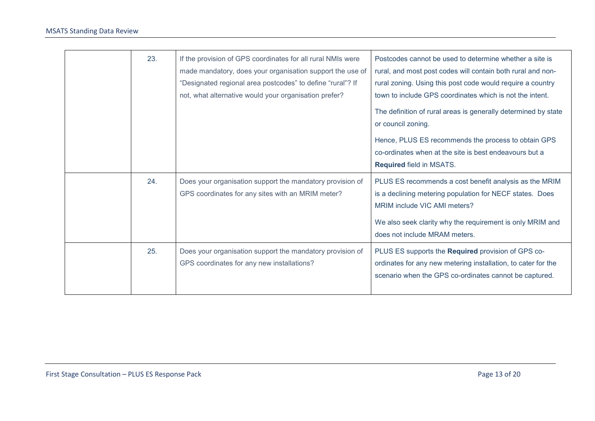| 23. | If the provision of GPS coordinates for all rural NMIs were<br>made mandatory, does your organisation support the use of<br>"Designated regional area postcodes" to define "rural"? If<br>not, what alternative would your organisation prefer? | Postcodes cannot be used to determine whether a site is<br>rural, and most post codes will contain both rural and non-<br>rural zoning. Using this post code would require a country<br>town to include GPS coordinates which is not the intent.<br>The definition of rural areas is generally determined by state<br>or council zoning.<br>Hence, PLUS ES recommends the process to obtain GPS<br>co-ordinates when at the site is best endeavours but a<br><b>Required field in MSATS.</b> |
|-----|-------------------------------------------------------------------------------------------------------------------------------------------------------------------------------------------------------------------------------------------------|----------------------------------------------------------------------------------------------------------------------------------------------------------------------------------------------------------------------------------------------------------------------------------------------------------------------------------------------------------------------------------------------------------------------------------------------------------------------------------------------|
| 24. | Does your organisation support the mandatory provision of<br>GPS coordinates for any sites with an MRIM meter?                                                                                                                                  | PLUS ES recommends a cost benefit analysis as the MRIM<br>is a declining metering population for NECF states. Does<br>MRIM include VIC AMI meters?<br>We also seek clarity why the requirement is only MRIM and<br>does not include MRAM meters.                                                                                                                                                                                                                                             |
| 25. | Does your organisation support the mandatory provision of<br>GPS coordinates for any new installations?                                                                                                                                         | PLUS ES supports the Required provision of GPS co-<br>ordinates for any new metering installation, to cater for the<br>scenario when the GPS co-ordinates cannot be captured.                                                                                                                                                                                                                                                                                                                |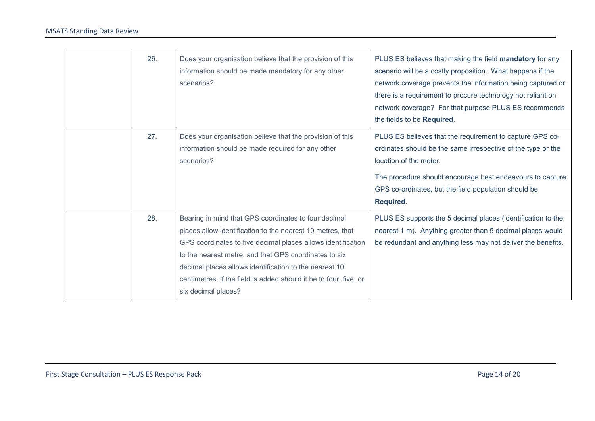| 26. | Does your organisation believe that the provision of this<br>information should be made mandatory for any other<br>scenarios?                                                                                                                                                                                                                                                                     | PLUS ES believes that making the field mandatory for any<br>scenario will be a costly proposition. What happens if the<br>network coverage prevents the information being captured or<br>there is a requirement to procure technology not reliant on<br>network coverage? For that purpose PLUS ES recommends<br>the fields to be Required. |
|-----|---------------------------------------------------------------------------------------------------------------------------------------------------------------------------------------------------------------------------------------------------------------------------------------------------------------------------------------------------------------------------------------------------|---------------------------------------------------------------------------------------------------------------------------------------------------------------------------------------------------------------------------------------------------------------------------------------------------------------------------------------------|
| 27. | Does your organisation believe that the provision of this<br>information should be made required for any other<br>scenarios?                                                                                                                                                                                                                                                                      | PLUS ES believes that the requirement to capture GPS co-<br>ordinates should be the same irrespective of the type or the<br>location of the meter.<br>The procedure should encourage best endeavours to capture<br>GPS co-ordinates, but the field population should be<br>Required.                                                        |
| 28. | Bearing in mind that GPS coordinates to four decimal<br>places allow identification to the nearest 10 metres, that<br>GPS coordinates to five decimal places allows identification<br>to the nearest metre, and that GPS coordinates to six<br>decimal places allows identification to the nearest 10<br>centimetres, if the field is added should it be to four, five, or<br>six decimal places? | PLUS ES supports the 5 decimal places (identification to the<br>nearest 1 m). Anything greater than 5 decimal places would<br>be redundant and anything less may not deliver the benefits.                                                                                                                                                  |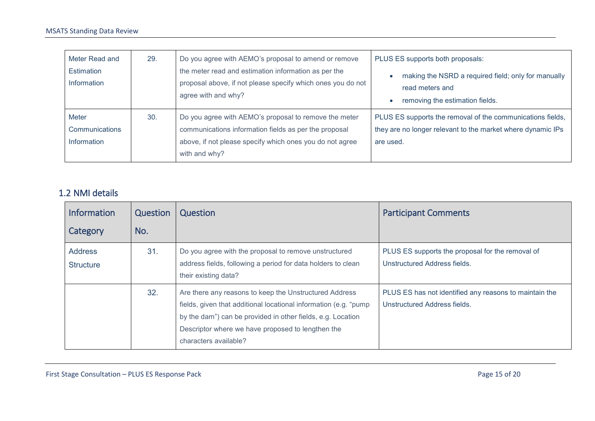| Meter Read and                                | 29. | Do you agree with AEMO's proposal to amend or remove                                                                                                                                        | PLUS ES supports both proposals:                                                                                                       |
|-----------------------------------------------|-----|---------------------------------------------------------------------------------------------------------------------------------------------------------------------------------------------|----------------------------------------------------------------------------------------------------------------------------------------|
| Estimation<br>Information                     |     | the meter read and estimation information as per the<br>proposal above, if not please specify which ones you do not<br>agree with and why?                                                  | making the NSRD a required field; only for manually<br>read meters and<br>removing the estimation fields.                              |
| Meter<br><b>Communications</b><br>Information | 30. | Do you agree with AEMO's proposal to remove the meter<br>communications information fields as per the proposal<br>above, if not please specify which ones you do not agree<br>with and why? | PLUS ES supports the removal of the communications fields,<br>they are no longer relevant to the market where dynamic IPs<br>are used. |

#### 1.2 NMI details

| <b>Information</b>                 | Question | Question                                                                                                                                                                                                                                                                 | <b>Participant Comments</b>                                                            |
|------------------------------------|----------|--------------------------------------------------------------------------------------------------------------------------------------------------------------------------------------------------------------------------------------------------------------------------|----------------------------------------------------------------------------------------|
| Category                           | No.      |                                                                                                                                                                                                                                                                          |                                                                                        |
| <b>Address</b><br><b>Structure</b> | 31.      | Do you agree with the proposal to remove unstructured<br>address fields, following a period for data holders to clean<br>their existing data?                                                                                                                            | PLUS ES supports the proposal for the removal of<br>Unstructured Address fields.       |
|                                    | 32.      | Are there any reasons to keep the Unstructured Address<br>fields, given that additional locational information (e.g. "pump"<br>by the dam") can be provided in other fields, e.g. Location<br>Descriptor where we have proposed to lengthen the<br>characters available? | PLUS ES has not identified any reasons to maintain the<br>Unstructured Address fields. |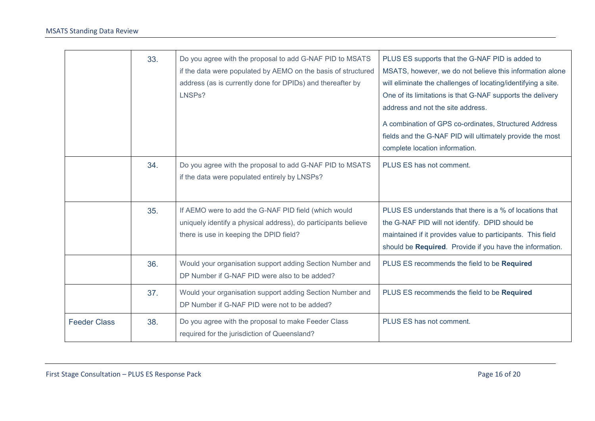|                     | 33. | Do you agree with the proposal to add G-NAF PID to MSATS<br>if the data were populated by AEMO on the basis of structured<br>address (as is currently done for DPIDs) and thereafter by<br>LNSPs? | PLUS ES supports that the G-NAF PID is added to<br>MSATS, however, we do not believe this information alone<br>will eliminate the challenges of locating/identifying a site.<br>One of its limitations is that G-NAF supports the delivery<br>address and not the site address.<br>A combination of GPS co-ordinates, Structured Address<br>fields and the G-NAF PID will ultimately provide the most<br>complete location information. |
|---------------------|-----|---------------------------------------------------------------------------------------------------------------------------------------------------------------------------------------------------|-----------------------------------------------------------------------------------------------------------------------------------------------------------------------------------------------------------------------------------------------------------------------------------------------------------------------------------------------------------------------------------------------------------------------------------------|
|                     | 34. | Do you agree with the proposal to add G-NAF PID to MSATS<br>if the data were populated entirely by LNSPs?                                                                                         | PLUS ES has not comment.                                                                                                                                                                                                                                                                                                                                                                                                                |
|                     | 35. | If AEMO were to add the G-NAF PID field (which would<br>uniquely identify a physical address), do participants believe<br>there is use in keeping the DPID field?                                 | PLUS ES understands that there is a % of locations that<br>the G-NAF PID will not identify. DPID should be<br>maintained if it provides value to participants. This field<br>should be Required. Provide if you have the information.                                                                                                                                                                                                   |
|                     | 36. | Would your organisation support adding Section Number and<br>DP Number if G-NAF PID were also to be added?                                                                                        | PLUS ES recommends the field to be Required                                                                                                                                                                                                                                                                                                                                                                                             |
|                     | 37. | Would your organisation support adding Section Number and<br>DP Number if G-NAF PID were not to be added?                                                                                         | PLUS ES recommends the field to be Required                                                                                                                                                                                                                                                                                                                                                                                             |
| <b>Feeder Class</b> | 38. | Do you agree with the proposal to make Feeder Class<br>required for the jurisdiction of Queensland?                                                                                               | PLUS ES has not comment.                                                                                                                                                                                                                                                                                                                                                                                                                |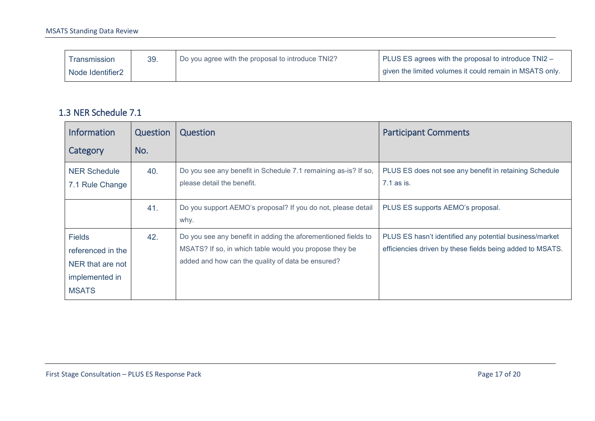| <b>I</b> ransmission | 39. | Do you agree with the proposal to introduce TNI2? | PLUS ES agrees with the proposal to introduce TNI2 -     |
|----------------------|-----|---------------------------------------------------|----------------------------------------------------------|
| Node Identifier2     |     |                                                   | given the limited volumes it could remain in MSATS only. |

#### 1.3 NER Schedule 7.1

| <b>Information</b>                                                                       | Question | Question                                                                                                                                                                     | <b>Participant Comments</b>                                                                                          |
|------------------------------------------------------------------------------------------|----------|------------------------------------------------------------------------------------------------------------------------------------------------------------------------------|----------------------------------------------------------------------------------------------------------------------|
| Category                                                                                 | No.      |                                                                                                                                                                              |                                                                                                                      |
| <b>NER Schedule</b><br>7.1 Rule Change                                                   | 40.      | Do you see any benefit in Schedule 7.1 remaining as-is? If so,<br>please detail the benefit.                                                                                 | PLUS ES does not see any benefit in retaining Schedule<br>7.1 as is.                                                 |
|                                                                                          | 41.      | Do you support AEMO's proposal? If you do not, please detail<br>why.                                                                                                         | PLUS ES supports AEMO's proposal.                                                                                    |
| <b>Fields</b><br>referenced in the<br>NER that are not<br>implemented in<br><b>MSATS</b> | 42.      | Do you see any benefit in adding the aforementioned fields to<br>MSATS? If so, in which table would you propose they be<br>added and how can the quality of data be ensured? | PLUS ES hasn't identified any potential business/market<br>efficiencies driven by these fields being added to MSATS. |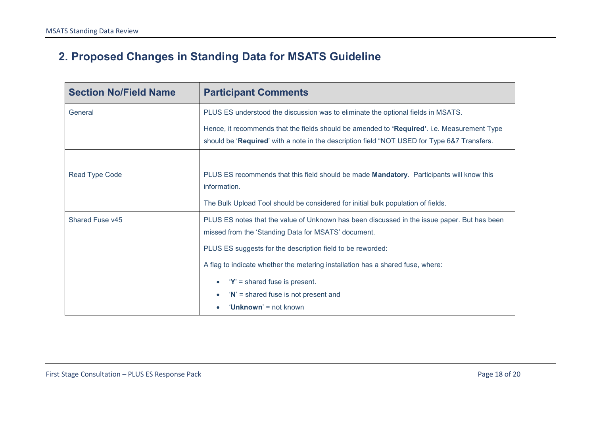## **2. Proposed Changes in Standing Data for MSATS Guideline**

<span id="page-17-0"></span>

| <b>Section No/Field Name</b> | <b>Participant Comments</b>                                                                                                                                                                |
|------------------------------|--------------------------------------------------------------------------------------------------------------------------------------------------------------------------------------------|
| General                      | PLUS ES understood the discussion was to eliminate the optional fields in MSATS.                                                                                                           |
|                              | Hence, it recommends that the fields should be amended to 'Required'. i.e. Measurement Type<br>should be 'Required' with a note in the description field "NOT USED for Type 6&7 Transfers. |
|                              |                                                                                                                                                                                            |
| Read Type Code               | PLUS ES recommends that this field should be made Mandatory. Participants will know this<br>information.                                                                                   |
|                              | The Bulk Upload Tool should be considered for initial bulk population of fields.                                                                                                           |
| Shared Fuse v45              | PLUS ES notes that the value of Unknown has been discussed in the issue paper. But has been<br>missed from the 'Standing Data for MSATS' document.                                         |
|                              | PLUS ES suggests for the description field to be reworded:                                                                                                                                 |
|                              | A flag to indicate whether the metering installation has a shared fuse, where:                                                                                                             |
|                              | $Y'$ = shared fuse is present.<br>$\bullet$                                                                                                                                                |
|                              | $'N'$ = shared fuse is not present and<br>$\bullet$                                                                                                                                        |
|                              | 'Unknown' = not known                                                                                                                                                                      |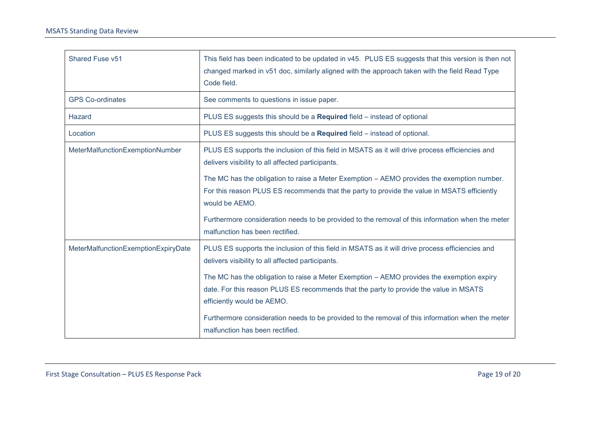| Shared Fuse v51                     | This field has been indicated to be updated in v45. PLUS ES suggests that this version is then not<br>changed marked in v51 doc, similarly aligned with the approach taken with the field Read Type<br>Code field. |
|-------------------------------------|--------------------------------------------------------------------------------------------------------------------------------------------------------------------------------------------------------------------|
| <b>GPS Co-ordinates</b>             | See comments to questions in issue paper.                                                                                                                                                                          |
| Hazard                              | PLUS ES suggests this should be a Required field - instead of optional                                                                                                                                             |
| Location                            | PLUS ES suggests this should be a Required field – instead of optional.                                                                                                                                            |
| MeterMalfunctionExemptionNumber     | PLUS ES supports the inclusion of this field in MSATS as it will drive process efficiencies and<br>delivers visibility to all affected participants.                                                               |
|                                     | The MC has the obligation to raise a Meter Exemption – AEMO provides the exemption number.<br>For this reason PLUS ES recommends that the party to provide the value in MSATS efficiently<br>would be AEMO.        |
|                                     | Furthermore consideration needs to be provided to the removal of this information when the meter<br>malfunction has been rectified.                                                                                |
| MeterMalfunctionExemptionExpiryDate | PLUS ES supports the inclusion of this field in MSATS as it will drive process efficiencies and<br>delivers visibility to all affected participants.                                                               |
|                                     | The MC has the obligation to raise a Meter Exemption - AEMO provides the exemption expiry<br>date. For this reason PLUS ES recommends that the party to provide the value in MSATS<br>efficiently would be AEMO.   |
|                                     | Furthermore consideration needs to be provided to the removal of this information when the meter<br>malfunction has been rectified.                                                                                |